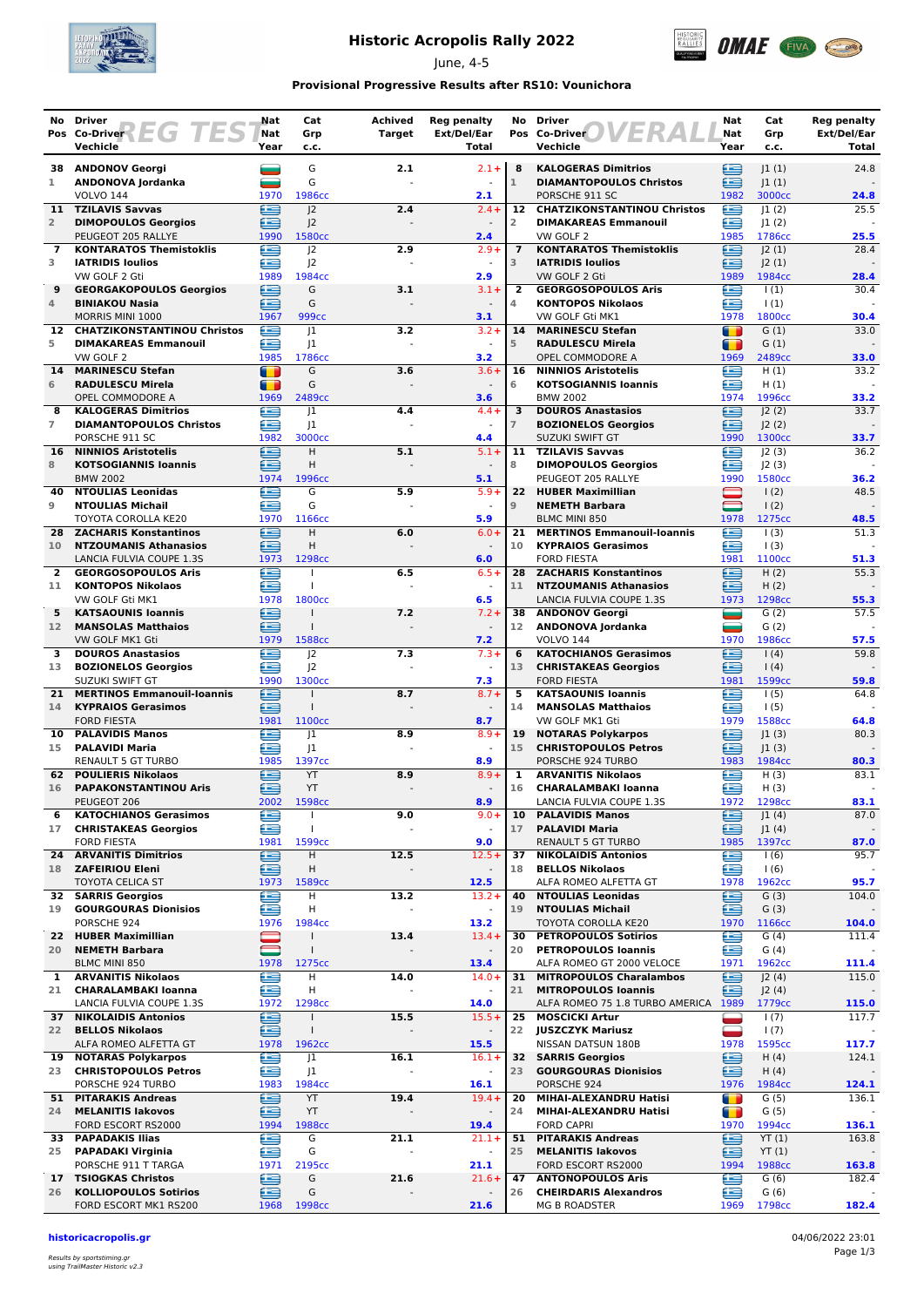

# **Historic Acropolis Rally 2022**

June, 4-5



### **Provisional Progressive Results after RS10: Vounichora**

|                     | No Driver                                                      | Nat                    | Cat                          | Achived       | <b>Reg penalty</b>                  | No                  | <b>Driver</b>                                               | Nat                                 | Cat                   | <b>Reg penalty</b>   |
|---------------------|----------------------------------------------------------------|------------------------|------------------------------|---------------|-------------------------------------|---------------------|-------------------------------------------------------------|-------------------------------------|-----------------------|----------------------|
|                     | Pos Co-Driver <b>EGTES</b><br>Vechicle                         | Nat<br>Year            | Grp<br>c.c.                  | <b>Target</b> | Ext/Del/Ear<br>Total                |                     | Pos Co-Driver<br>Vechicle                                   | Nat<br>Year                         | Grp<br>c.c.           | Ext/Del/Ear<br>Total |
| 38                  | <b>ANDONOV Georgi</b>                                          | and a                  | G                            | 2.1           | $2.1 +$                             | 8                   | <b>KALOGERAS Dimitrios</b>                                  | ≘                                   | 1(1)                  | 24.8                 |
| 1                   | ANDONOVA Jordanka                                              |                        | G                            |               |                                     | $\mathbf{1}$        | <b>DIAMANTOPOULOS Christos</b>                              | œ                                   | 1(1)                  |                      |
| 11                  | <b>VOLVO 144</b><br><b>TZILAVIS Savvas</b>                     | 1970<br>œ              | 1986cc<br> 2                 | 2.4           | 2.1<br>$2.4 +$                      | $12 \overline{ }$   | PORSCHE 911 SC<br><b>CHATZIKONSTANTINOU Christos</b>        | 1982<br>£                           | 3000cc<br> 1(2)       | 24.8<br>25.5         |
| $\overline{2}$      | <b>DIMOPOULOS Georgios</b>                                     | ≘                      | 2                            |               |                                     | 2                   | <b>DIMAKAREAS Emmanouil</b>                                 | œ                                   | 1(2)                  |                      |
|                     | PEUGEOT 205 RALLYE                                             | 1990                   | 1580 <sub>cc</sub>           |               | 2.4                                 |                     | VW GOLF 2                                                   | 1985                                | 1786cc                | 25.5                 |
| 7<br>3              | <b>KONTARATOS Themistoklis</b><br><b>IATRIDIS Ioulios</b>      | æ<br>£                 | 2<br> 2                      | 2.9           | $2.9+$<br>$\sim$                    | $\overline{7}$<br>3 | <b>KONTARATOS Themistoklis</b><br><b>IATRIDIS Ioulios</b>   | £<br>œ                              | J2(1)<br> 2(1)        | 28.4                 |
|                     | VW GOLF 2 Gti                                                  | 1989                   | 1984cc                       |               | 2.9                                 |                     | VW GOLF 2 Gti                                               | 1989                                | 1984cc                | 28.4                 |
| 9                   | <b>GEORGAKOPOULOS Georgios</b>                                 | €                      | G                            | 3.1           | $3.1 +$                             | $\overline{2}$      | <b>GEORGOSOPOULOS Aris</b>                                  | œ                                   | $\vert$ (1)           | 30.4                 |
| 4                   | <b>BINIAKOU Nasia</b><br>MORRIS MINI 1000                      | ఆ<br>1967              | G<br>999 <sub>cc</sub>       |               | 3.1                                 | 4                   | <b>KONTOPOS Nikolaos</b><br>VW GOLF Gti MK1                 | £<br>1978                           | $\vert$ (1)<br>1800cc | 30.4                 |
| 12                  | <b>CHATZIKONSTANTINOU Christos</b>                             | œ                      | 1                            | 3.2           | $3.2 +$                             | 14                  | <b>MARINESCU Stefan</b>                                     | T                                   | G(1)                  | 33.0                 |
| 5                   | <b>DIMAKAREAS Emmanouil</b>                                    | £                      | 1                            |               |                                     | 5                   | <b>RADULESCU Mirela</b>                                     | Œ                                   | G(1)                  |                      |
| 14                  | VW GOLF 2<br><b>MARINESCU Stefan</b>                           | 1985<br>$\blacksquare$ | 1786cc<br>G                  | 3.6           | 3.2<br>$3.6+$                       | 16                  | OPEL COMMODORE A<br><b>NINNIOS Aristotelis</b>              | 1969<br>£                           | 2489cc<br>H(1)        | 33.0<br>33.2         |
| 6                   | <b>RADULESCU Mirela</b>                                        | $\blacksquare$         | G                            |               | $\blacksquare$                      | 6                   | <b>KOTSOGIANNIS Ioannis</b>                                 | £                                   | H(1)                  |                      |
|                     | OPEL COMMODORE A                                               | 1969                   | 2489cc                       |               | 3.6                                 |                     | <b>BMW 2002</b>                                             | 1974                                | 1996cc                | 33.2                 |
| 8<br>$\overline{7}$ | <b>KALOGERAS Dimitrios</b><br><b>DIAMANTOPOULOS Christos</b>   | €<br>£                 | 1                            | 4.4           | $4.4 +$                             | 3<br>$\overline{7}$ | <b>DOUROS Anastasios</b>                                    | ≘<br>≘                              | 2(2) <br> 2(2)        | 33.7                 |
|                     | PORSCHE 911 SC                                                 | 1982                   | J <sub>1</sub><br>3000cc     |               | 4.4                                 |                     | <b>BOZIONELOS Georgios</b><br><b>SUZUKI SWIFT GT</b>        | 1990                                | 1300 <sub>cc</sub>    | 33.7                 |
| 16                  | <b>NINNIOS Aristotelis</b>                                     | £                      | H.                           | 5.1           | $5.1 +$                             |                     | 11 TZILAVIS Savvas                                          | œ                                   | 2(3)                  | 36.2                 |
| 8                   | <b>KOTSOGIANNIS Ioannis</b><br><b>BMW 2002</b>                 | æ<br>1974              | н<br>1996сс                  |               | 5.1                                 | 8                   | <b>DIMOPOULOS Georgios</b><br>PEUGEOT 205 RALLYE            | œ<br>1990                           | J2(3)<br>1580cc       | 36.2                 |
| 40                  | <b>NTOULIAS Leonidas</b>                                       | ⋐                      | G                            | 5.9           | $5.9+$                              | 22                  | <b>HUBER Maximillian</b>                                    |                                     | 1(2)                  | 48.5                 |
| 9                   | <b>NTOULIAS Michail</b>                                        | £                      | G                            |               | $\overline{\phantom{a}}$            | $\overline{9}$      | <b>NEMETH Barbara</b>                                       | $\qquad \qquad \qquad \blacksquare$ | 1(2)                  |                      |
|                     | TOYOTA COROLLA KE20                                            | 1970                   | 1166cc                       |               | 5.9                                 |                     | <b>BLMC MINI 850</b><br><b>MERTINOS Emmanouil-Ioannis</b>   | 1978<br>æ                           | 1275cc                | 48.5<br>51.3         |
| 28<br>10            | <b>ZACHARIS Konstantinos</b><br><b>NTZOUMANIS Athanasios</b>   | £<br>∈                 | H<br>Η                       | 6.0           | $6.0 +$                             | 21<br>10            | <b>KYPRAIOS Gerasimos</b>                                   | œ                                   | 1(3)<br>1(3)          |                      |
|                     | LANCIA FULVIA COUPE 1.3S                                       | 1973                   | 1298cc                       |               | 6.0                                 |                     | <b>FORD FIESTA</b>                                          | 1981                                | 1100cc                | 51.3                 |
| 2                   | <b>GEORGOSOPOULOS Aris</b>                                     | œ                      |                              | 6.5           | $6.5+$                              |                     | 28 ZACHARIS Konstantinos                                    | E                                   | H(2)                  | 55.3                 |
| 11                  | <b>KONTOPOS Nikolaos</b><br>VW GOLF Gti MK1                    | £<br>1978              | $\mathbf{I}$<br>1800cc       |               | 6.5                                 | 11                  | <b>NTZOUMANIS Athanasios</b><br>LANCIA FULVIA COUPE 1.3S    | ≘<br>1973                           | H(2)<br>1298cc        | 55.3                 |
| 5                   | <b>KATSAOUNIS Ioannis</b>                                      | ∈                      |                              | 7.2           | $7.2 +$                             | 38                  | <b>ANDONOV Georgi</b>                                       | ▄                                   | G(2)                  | 57.5                 |
| 12 <sup>7</sup>     | <b>MANSOLAS Matthaios</b>                                      | æ                      | $\mathbf{I}$                 |               | $\sim$                              | 12                  | ANDONOVA Jordanka                                           | ═                                   | G(2)                  |                      |
| 3                   | VW GOLF MK1 Gti<br><b>DOUROS Anastasios</b>                    | 1979<br>œ              | 1588cc<br>J <sup>2</sup>     | 7.3           | 7.2<br>$7.3+$                       | 6                   | <b>VOLVO 144</b><br><b>KATOCHIANOS Gerasimos</b>            | 1970<br>œ                           | 1986cc<br>1(4)        | 57.5<br>59.8         |
| 13                  | <b>BOZIONELOS Georgios</b>                                     | £                      | J <sup>2</sup>               |               |                                     | 13                  | <b>CHRISTAKEAS Georgios</b>                                 | ≘                                   | $\vert$ (4)           |                      |
|                     | SUZUKI SWIFT GT                                                | 1990                   | 1300cc                       |               | 7.3                                 |                     | <b>FORD FIESTA</b>                                          | 1981                                | 1599cc                | 59.8                 |
| 21<br>14            | <b>MERTINOS Emmanouil-Ioannis</b><br><b>KYPRAIOS Gerasimos</b> | ≘<br>œ                 | $\mathbf{I}$                 | 8.7           | $8.7 +$<br>$\overline{\phantom{a}}$ | 5<br>14             | <b>KATSAOUNIS Ioannis</b><br><b>MANSOLAS Matthaios</b>      | œ<br>≘                              | 1(5)<br>1(5)          | 64.8                 |
|                     | <b>FORD FIESTA</b>                                             | 1981                   | 1100 <sub>cc</sub>           |               | 8.7                                 |                     | VW GOLF MK1 Gti                                             | 1979                                | 1588cc                | 64.8                 |
| 10                  | <b>PALAVIDIS Manos</b>                                         | £                      | 1                            | 8.9           | $8.9 +$                             | 19                  | <b>NOTARAS Polykarpos</b>                                   | ⊟                                   | 1(3)                  | 80.3                 |
| 15                  | <b>PALAVIDI Maria</b><br>RENAULT 5 GT TURBO                    | £<br>1985              | 1<br>1397cc                  |               | $\omega$<br>8.9                     | 15                  | <b>CHRISTOPOULOS Petros</b><br>PORSCHE 924 TURBO            | œ<br>1983                           | 1(3) <br>1984cc       | 80.3                 |
| 62                  | <b>POULIERIS Nikolaos</b>                                      | £                      | YT                           | 8.9           | $8.9 +$                             | 1                   | <b>ARVANITIS Nikolaos</b>                                   | ≘                                   | H(3)                  | 83.1                 |
| 16                  | <b>PAPAKONSTANTINOU Aris</b>                                   | £                      | YT                           |               |                                     | 16                  | <b>CHARALAMBAKI Ioanna</b>                                  | œ                                   | H(3)                  |                      |
| 6                   | PEUGEOT 206<br><b>KATOCHIANOS Gerasimos</b>                    | 2002<br>œ              | 1598cc<br>$\mathbf{I}$       | 9.0           | 8.9<br>$9.0 +$                      | 10                  | LANCIA FULVIA COUPE 1.3S<br><b>PALAVIDIS Manos</b>          | 1972<br>⊜                           | 1298cc<br>J1(4)       | 83.1<br>87.0         |
| 17                  | <b>CHRISTAKEAS Georgios</b>                                    | œ                      | $\mathbf{I}$                 |               | $\blacksquare$                      | 17                  | <b>PALAVIDI Maria</b>                                       | ≘                                   | J1(4)                 |                      |
|                     | <b>FORD FIESTA</b>                                             | 1981                   | 1599cc                       |               | 9.0                                 |                     | <b>RENAULT 5 GT TURBO</b>                                   | 1985                                | 1397cc                | 87.0                 |
| 24.<br>18           | <b>ARVANITIS Dimitrios</b><br><b>ZAFEIRIOU Eleni</b>           | e<br>≘                 | н<br>Н                       | 12.5          | $12.5+$                             | 37<br>18            | <b>NIKOLAIDIS Antonios</b><br><b>BELLOS Nikolaos</b>        | €<br>≘                              | 1(6)<br>1(6)          | 95.7                 |
|                     | <b>TOYOTA CELICA ST</b>                                        | 1973                   | 1589cc                       |               | 12.5                                |                     | ALFA ROMEO ALFETTA GT                                       | 1978                                | 1962cc                | 95.7                 |
|                     | <b>32 SARRIS Georgios</b>                                      | e                      | н                            | 13.2          | $13.2 +$                            | 40                  | <b>NTOULIAS Leonidas</b>                                    | ⊜                                   | G(3)                  | 104.0                |
| 19                  | <b>GOURGOURAS Dionisios</b><br>PORSCHE 924                     | e<br>1976              | н<br>1984cc                  |               | $\sim$<br>13.2                      | 19                  | <b>NTOULIAS Michail</b><br>TOYOTA COROLLA KE20              | ≘<br>1970                           | G(3)<br>1166cc        | 104.0                |
| 22.                 | <b>HUBER Maximillian</b>                                       |                        | $\mathbf{I}$                 | 13.4          | $13.4 +$                            | 30                  | <b>PETROPOULOS Sotirios</b>                                 | £                                   | G(4)                  | 111.4                |
| 20                  | <b>NEMETH Barbara</b>                                          |                        | $\mathbf{I}$                 |               | $\blacksquare$                      | 20                  | <b>PETROPOULOS Ioannis</b>                                  | £                                   | G(4)                  |                      |
| $\mathbf{1}$        | BLMC MINI 850<br><b>ARVANITIS Nikolaos</b>                     | 1978<br>£              | 1275cc<br>н                  | 14.0          | 13.4<br>$14.0+$                     | 31                  | ALFA ROMEO GT 2000 VELOCE<br><b>MITROPOULOS Charalambos</b> | 1971<br>≘                           | 1962cc<br>J2(4)       | 111.4<br>115.0       |
| 21                  | <b>CHARALAMBAKI Ioanna</b>                                     | ∈                      | Η                            |               |                                     | 21                  | <b>MITROPOULOS Ioannis</b>                                  | ∈                                   | J2(4)                 |                      |
|                     | LANCIA FULVIA COUPE 1.3S                                       | 1972                   | 1298cc                       |               | 14.0                                |                     | ALFA ROMEO 75 1.8 TURBO AMERICA 1989                        |                                     | 1779cc                | 115.0                |
| 22                  | <b>37 NIKOLAIDIS Antonios</b><br><b>BELLOS Nikolaos</b>        | e<br>≘                 | $\mathbf{I}$<br>$\mathbf{I}$ | 15.5          | $15.5+$                             | 25<br>22            | <b>MOSCICKI Artur</b><br><b>JUSZCZYK Mariusz</b>            | ═<br>▄                              | 1(7)<br>1(7)          | 117.7                |
|                     | ALFA ROMEO ALFETTA GT                                          | 1978                   | 1962cc                       |               | 15.5                                |                     | NISSAN DATSUN 180B                                          | 1978                                | 1595cc                | 117.7                |
|                     | 19 NOTARAS Polykarpos                                          | €                      | J1                           | 16.1          | $16.1 +$                            |                     | <b>32 SARRIS Georgios</b>                                   | 鱼                                   | H(4)                  | 124.1                |
|                     | 23 CHRISTOPOULOS Petros<br>PORSCHE 924 TURBO                   | ≘<br>1983              | J1<br>1984cc                 |               | $\overline{\phantom{a}}$<br>16.1    | 23                  | <b>GOURGOURAS Dionisios</b><br>PORSCHE 924                  | ≘<br>1976                           | H(4)<br>1984cc        | 124.1                |
|                     | 51 PITARAKIS Andreas                                           | ∈                      | YT                           | 19.4          | $19.4 +$                            | 20                  | MIHAI-ALEXANDRU Hatisi                                      | т                                   | G (5)                 | 136.1                |
| 24                  | <b>MELANITIS lakovos</b>                                       | ≘                      | YT                           |               |                                     | 24                  | MIHAI-ALEXANDRU Hatisi                                      | n                                   | G(5)                  |                      |
|                     | FORD ESCORT RS2000<br>33 PAPADAKIS Ilias                       | 1994<br>e              | 1988cc<br>G                  | 21.1          | 19.4<br>$21.1+$                     | 51                  | <b>FORD CAPRI</b><br><b>PITARAKIS Andreas</b>               | 1970<br>⊜                           | 1994cc<br>YT(1)       | 136.1<br>163.8       |
| 25                  | <b>PAPADAKI Virginia</b>                                       | ≘                      | G                            |               | $\blacksquare$                      | 25                  | <b>MELANITIS lakovos</b>                                    | ≘                                   | YT(1)                 |                      |
|                     | PORSCHE 911 T TARGA                                            | 1971                   | 2195cc                       |               | 21.1                                |                     | FORD ESCORT RS2000                                          | 1994                                | 1988cc                | 163.8                |
| 17<br>26            | <b>TSIOGKAS Christos</b><br><b>KOLLIOPOULOS Sotirios</b>       | €<br>鱼                 | G<br>G                       | 21.6          | $21.6+$                             | 47<br>26            | <b>ANTONOPOULOS Aris</b><br><b>CHEIRDARIS Alexandros</b>    | €<br>œ                              | G(6)<br>G(6)          | 182.4                |
|                     | FORD ESCORT MK1 RS200                                          | 1968                   | 1998 <sub>cc</sub>           |               | 21.6                                |                     | MG B ROADSTER                                               | 1969                                | 1798cc                | 182.4                |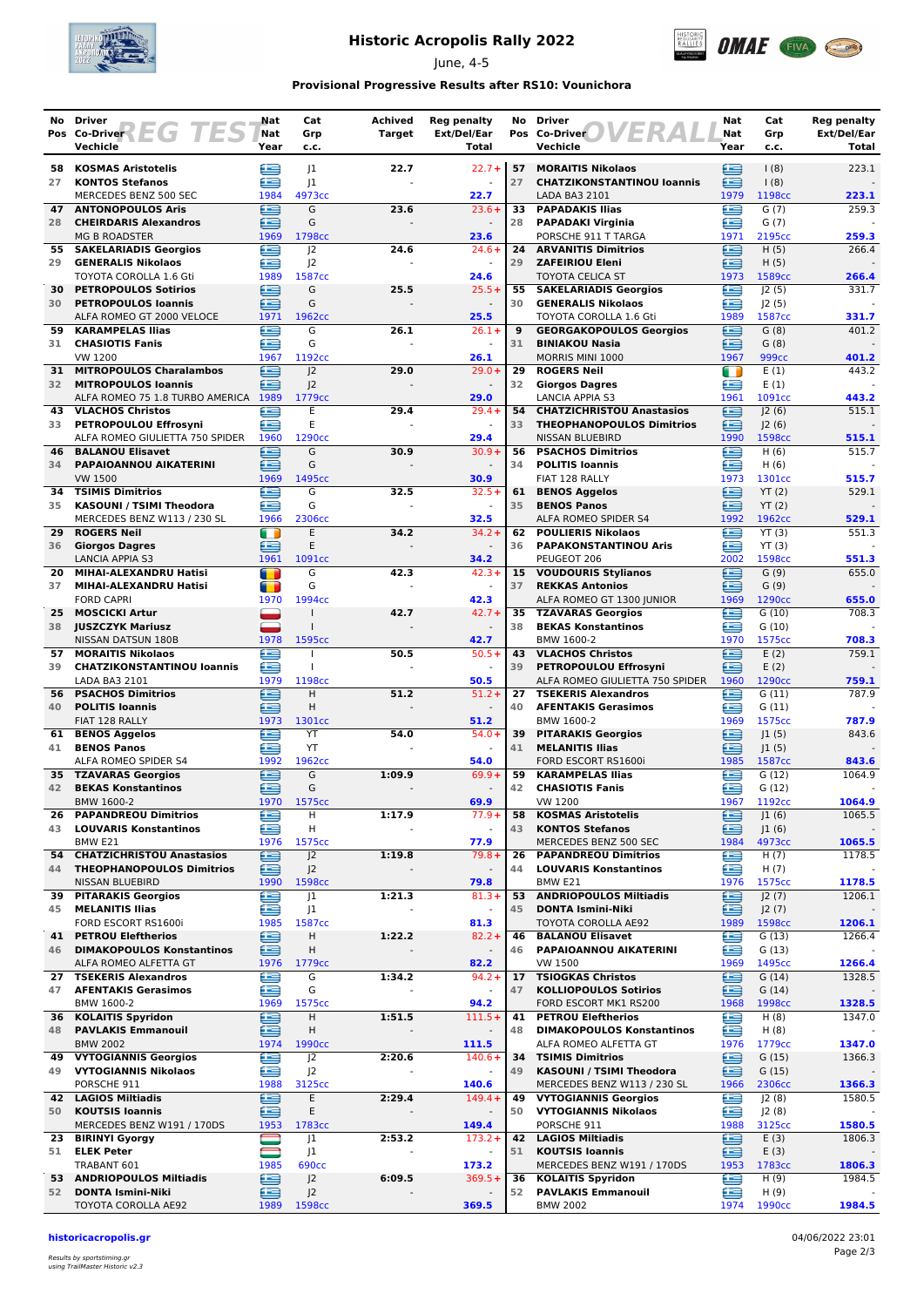

# **Historic Acropolis Rally 2022**

June, 4-5



### **Provisional Progressive Results after RS10: Vounichora**

|          | No Driver                                                    | Nat                    | Cat                                  | Achived       | <b>Reg penalty</b>                  |          | No Driver                                                          | Nat         | Cat               | <b>Reg penalty</b>   |
|----------|--------------------------------------------------------------|------------------------|--------------------------------------|---------------|-------------------------------------|----------|--------------------------------------------------------------------|-------------|-------------------|----------------------|
|          | Pos Co-Driver<br>$\overline{\phantom{a}}$<br>Vechicle        | Nat<br>Year            | Grp<br>c.c.                          | <b>Target</b> | Ext/Del/Ear<br>Total                |          | Pos Co-Driver<br>Vechicle                                          | Nat<br>Year | Grp<br>c.c.       | Ext/Del/Ear<br>Total |
| 58       | <b>KOSMAS Aristotelis</b>                                    | 生                      | 1                                    | 22.7          | $22.7 +$                            | 57       | <b>MORAITIS Nikolaos</b>                                           | ≘           | (8)               | 223.1                |
| 27       | <b>KONTOS Stefanos</b>                                       | £                      | 1                                    |               |                                     | 27       | <b>CHATZIKONSTANTINOU loannis</b>                                  | ≘           | $\frac{1(8)}{2}$  |                      |
|          | MERCEDES BENZ 500 SEC                                        | 1984                   | 4973cc                               |               | 22.7                                |          | LADA BA3 2101                                                      | 1979        | 1198cc            | 223.1                |
| 47       | <b>ANTONOPOULOS Aris</b>                                     | £                      | G                                    | 23.6          | $23.6+$                             | 33       | <b>PAPADAKIS Ilias</b>                                             | £           | G(7)              | 259.3                |
| 28       | <b>CHEIRDARIS Alexandros</b><br><b>MG B ROADSTER</b>         | œ<br>1969              | G<br>1798cc                          |               | 23.6                                | 28       | <b>PAPADAKI Virginia</b><br>PORSCHE 911 T TARGA                    | £<br>1971   | G(7)<br>2195cc    | 259.3                |
|          | 55 SAKELARIADIS Georgios                                     | £                      | J <sup>2</sup>                       | 24.6          | $24.6+$                             | 24       | <b>ARVANITIS Dimitrios</b>                                         | ⊟           | H(5)              | 266.4                |
| 29       | <b>GENERALIS Nikolaos</b>                                    | æ                      | J <sup>2</sup>                       |               | $\omega$                            | 29       | <b>ZAFEIRIOU Eleni</b>                                             | œ           | H(5)              |                      |
|          | TOYOTA COROLLA 1.6 Gti                                       | 1989                   | 1587cc                               |               | 24.6                                |          | <b>TOYOTA CELICA ST</b>                                            | 1973        | 1589cc            | 266.4                |
|          | 30 PETROPOULOS Sotirios                                      | e                      | G<br>G                               | 25.5          | $25.5+$                             | 55       | <b>SAKELARIADIS Georgios</b>                                       | ⋐           | J2(5)             | 331.7                |
| 30       | <b>PETROPOULOS Ioannis</b><br>ALFA ROMEO GT 2000 VELOCE      | ≘<br>1971              | 1962cc                               |               | $\overline{\phantom{a}}$<br>25.5    | 30       | <b>GENERALIS Nikolaos</b><br>TOYOTA COROLLA 1.6 Gti                | œ<br>1989   | J2(5)<br>1587cc   | 331.7                |
| 59       | <b>KARAMPELAS Ilias</b>                                      | £                      | G                                    | 26.1          | $26.1 +$                            | 9        | <b>GEORGAKOPOULOS Georgios</b>                                     | ≘           | G(8)              | 401.2                |
|          | 31 CHASIOTIS Fanis                                           | œ                      | G                                    |               | $\sim$                              | 31       | <b>BINIAKOU Nasia</b>                                              | ≘           | G(8)              |                      |
|          | VW 1200                                                      | 1967                   | 1192cc                               |               | 26.1                                |          | MORRIS MINI 1000                                                   | 1967        | 999 <sub>cc</sub> | 401.2                |
| 31<br>32 | <b>MITROPOULOS Charalambos</b><br><b>MITROPOULOS Ioannis</b> | ∈<br>æ                 | J <sup>2</sup><br> 2                 | 29.0          | $29.0+$<br>$\blacksquare$           | 29<br>32 | <b>ROGERS Neil</b><br><b>Giorgos Dagres</b>                        | m<br>æ      | E(1)<br>E(1)      | 443.2                |
|          | ALFA ROMEO 75 1.8 TURBO AMERICA 1989                         |                        | 1779 <sub>cc</sub>                   |               | 29.0                                |          | <b>LANCIA APPIA S3</b>                                             | 1961        | 1091cc            | 443.2                |
| 43       | <b>VLACHOS Christos</b>                                      | Œ                      | E                                    | 29.4          | $29.4 +$                            | 54       | <b>CHATZICHRISTOU Anastasios</b>                                   | ≘           | 2(6)              | 515.1                |
| 33       | PETROPOULOU Effrosyni                                        | æ                      | E                                    |               |                                     | 33       | <b>THEOPHANOPOULOS Dimitrios</b>                                   | œ           | J2(6)             |                      |
| 46       | ALFA ROMEO GIULIETTA 750 SPIDER<br><b>BALANOU Elisavet</b>   | 1960<br>£              | 1290cc<br>G                          | 30.9          | 29.4<br>$30.9 +$                    | 56       | NISSAN BLUEBIRD<br><b>PSACHOS Dimitrios</b>                        | 1990<br>œ   | 1598cc<br>H(6)    | 515.1<br>515.7       |
| 34       | PAPAIOANNOU AIKATERINI                                       | £                      | G                                    |               |                                     | 34       | <b>POLITIS Ioannis</b>                                             | œ           | H(6)              |                      |
|          | <b>VW 1500</b>                                               | 1969                   | 1495cc                               |               | 30.9                                |          | FIAT 128 RALLY                                                     | 1973        | 1301cc            | 515.7                |
| 34       | <b>TSIMIS Dimitrios</b>                                      | ≘                      | G                                    | 32.5          | $32.5+$                             | 61       | <b>BENOS Aggelos</b>                                               | ≘           | YT(2)             | 529.1                |
| 35       | <b>KASOUNI / TSIMI Theodora</b>                              | œ                      | G                                    |               |                                     | 35       | <b>BENOS Panos</b>                                                 | ≘           | YT(2)             |                      |
| 29       | MERCEDES BENZ W113 / 230 SL<br><b>ROGERS Neil</b>            | 1966<br>$\blacksquare$ | 2306cc<br>E                          | 34.2          | 32.5<br>$34.2 +$                    | 62       | ALFA ROMEO SPIDER S4<br><b>POULIERIS Nikolaos</b>                  | 1992<br>œ   | 1962cc<br>YT(3)   | 529.1<br>551.3       |
| 36       | <b>Giorgos Dagres</b>                                        | £                      | E                                    |               |                                     | 36       | <b>PAPAKONSTANTINOU Aris</b>                                       | œ           | YT(3)             |                      |
|          | LANCIA APPIA S3                                              | 1961                   | 1091cc                               |               | 34.2                                |          | PEUGEOT 206                                                        | 2002        | 1598cc            | 551.3                |
| 20       | MIHAI-ALEXANDRU Hatisi                                       | $\blacksquare$         | G                                    | 42.3          | $42.3+$                             |          | 15 VOUDOURIS Stylianos                                             | E           | G(9)              | 655.0                |
| 37       | MIHAI-ALEXANDRU Hatisi                                       | œ                      | G                                    |               | $\sim$                              | 37       | <b>REKKAS Antonios</b>                                             | ≘           | G(9)              |                      |
| 25       | <b>FORD CAPRI</b><br><b>MOSCICKI Artur</b>                   | 1970                   | 1994cc<br>$\mathbf{I}$               | 42.7          | 42.3<br>$42.7 +$                    | 35       | ALFA ROMEO GT 1300 JUNIOR<br><b>TZAVARAS Georgios</b>              | 1969<br>Ħ   | 1290cc<br>G(10)   | 655.0<br>708.3       |
| 38       | <b>JUSZCZYK Mariusz</b>                                      |                        |                                      |               |                                     | 38       | <b>BEKAS Konstantinos</b>                                          | £           | G(10)             |                      |
|          | NISSAN DATSUN 180B                                           | 1978                   | 1595cc                               |               | 42.7                                |          | BMW 1600-2                                                         | 1970        | 1575cc            | 708.3                |
| 57       | <b>MORAITIS Nikolaos</b>                                     | €                      |                                      | 50.5          | $50.5+$                             | 43       | <b>VLACHOS Christos</b>                                            | ≘           | E(2)              | 759.1                |
| 39       | <b>CHATZIKONSTANTINOU loannis</b>                            | £<br>1979              | T                                    |               |                                     | 39       | PETROPOULOU Effrosyni                                              | ≘           | E(2)<br>1290cc    |                      |
|          | LADA BA3 2101<br><b>56 PSACHOS Dimitrios</b>                 | €                      | 1198cc<br>H                          | 51.2          | 50.5<br>$51.2 +$                    | 27       | ALFA ROMEO GIULIETTA 750 SPIDER 1960<br><b>TSEKERIS Alexandros</b> | £           | G(11)             | 759.1<br>787.9       |
|          | 40 POLITIS Ioannis                                           | £                      | H                                    |               | $\sim$                              | 40       | <b>AFENTAKIS Gerasimos</b>                                         | £           | G(11)             |                      |
|          | FIAT 128 RALLY                                               | 1973                   | 1301cc                               |               | 51.2                                |          | BMW 1600-2                                                         | 1969        | 1575cc            | 787.9                |
|          | 61 BENOS Aggelos                                             | £                      | YT                                   | 54.0          | $54.0+$                             | 39       | <b>PITARAKIS Georgios</b>                                          | ≘           | J1(5)             | 843.6                |
| 41       | <b>BENOS Panos</b><br>ALFA ROMEO SPIDER S4                   | ≘<br>1992              | YT<br>1962cc                         |               | 54.0                                | 41       | <b>MELANITIS Ilias</b><br>FORD ESCORT RS1600i                      | ∈<br>1985   | J1(5)<br>1587cc   | 843.6                |
| 35       | <b>TZAVARAS Georgios</b>                                     | ≘                      | G                                    | 1:09.9        | $69.9+$                             | 59       | <b>KARAMPELAS Ilias</b>                                            | £           | G(12)             | 1064.9               |
| 42       | <b>BEKAS Konstantinos</b>                                    | œ                      | G                                    |               |                                     | 42       | <b>CHASIOTIS Fanis</b>                                             | ≘           | G(12)             |                      |
|          | BMW 1600-2                                                   | 1970                   | 1575cc                               |               | 69.9                                |          | <b>VW 1200</b>                                                     | 1967        | 1192cc            | 1064.9               |
| 26<br>43 | <b>PAPANDREOU Dimitrios</b><br><b>LOUVARIS Konstantinos</b>  | e<br>£                 | H<br>н                               | 1:17.9        | $77.9+$<br>$\blacksquare$           | 58<br>43 | <b>KOSMAS Aristotelis</b><br><b>KONTOS Stefanos</b>                | ⊜<br>∈      | J1(6)             | 1065.5               |
|          | BMW <sub>E21</sub>                                           | 1976                   | 1575cc                               |               | 77.9                                |          | MERCEDES BENZ 500 SEC                                              | 1984        | J1(6)<br>4973cc   | 1065.5               |
|          | 54 CHATZICHRISTOU Anastasios                                 | œ                      | J <sup>2</sup>                       | 1:19.8        | $79.8+$                             | 26       | <b>PAPANDREOU Dimitrios</b>                                        | œ           | H(7)              | 1178.5               |
| 44       | <b>THEOPHANOPOULOS Dimitrios</b>                             | ≘                      | J <sup>2</sup>                       |               |                                     | 44       | <b>LOUVARIS Konstantinos</b>                                       | œ           | H(7)              |                      |
|          | NISSAN BLUEBIRD                                              | 1990                   | 1598cc                               |               | 79.8                                |          | BMW E21                                                            | 1976        | 1575cc            | 1178.5               |
| 39<br>45 | <b>PITARAKIS Georgios</b><br><b>MELANITIS Ilias</b>          | e<br>ఆ                 | J1<br>J <sub>1</sub>                 | 1:21.3        | $81.3+$<br>$\overline{\phantom{a}}$ | 53<br>45 | <b>ANDRIOPOULOS Miltiadis</b><br><b>DONTA Ismini-Niki</b>          | ≘<br>≘      | J2(7)<br>J2(7)    | 1206.1               |
|          | FORD ESCORT RS1600i                                          | 1985                   | 1587cc                               |               | 81.3                                |          | TOYOTA COROLLA AE92                                                | 1989        | 1598cc            | 1206.1               |
|          | <b>41 PETROU Eleftherios</b>                                 | ⊟                      | н                                    | 1:22.2        | $82.2 +$                            | 46       | <b>BALANOU Elisavet</b>                                            | œ           | G(13)             | 1266.4               |
| 46       | <b>DIMAKOPOULOS Konstantinos</b>                             | £                      | н                                    |               | $\overline{\phantom{a}}$            | 46       | PAPAIOANNOU AIKATERINI                                             | œ           | G(13)             |                      |
| 27       | ALFA ROMEO ALFETTA GT<br><b>TSEKERIS Alexandros</b>          | 1976<br>⋐              | 1779 <sub>cc</sub><br>G              | 1:34.2        | 82.2<br>$94.2 +$                    | 17       | VW 1500<br><b>TSIOGKAS Christos</b>                                | 1969<br>⊟   | 1495cc<br>G(14)   | 1266.4<br>1328.5     |
| 47       | <b>AFENTAKIS Gerasimos</b>                                   | ≘                      | G                                    |               |                                     | 47       | <b>KOLLIOPOULOS Sotirios</b>                                       | ≘           | G(14)             |                      |
|          | BMW 1600-2                                                   | 1969                   | 1575cc                               |               | 94.2                                |          | FORD ESCORT MK1 RS200                                              | 1968        | 1998cc            | 1328.5               |
| 36       | <b>KOLAITIS Spyridon</b>                                     | œ                      | н                                    | 1:51.5        | $111.5+$                            | 41       | <b>PETROU Eleftherios</b>                                          | ≘           | H(8)              | 1347.0               |
| 48       | <b>PAVLAKIS Emmanouil</b>                                    | ∈                      | Н                                    |               | $\overline{\phantom{a}}$            | 48       | <b>DIMAKOPOULOS Konstantinos</b>                                   | œ           | H (8)             |                      |
|          | <b>BMW 2002</b><br>49 VYTOGIANNIS Georgios                   | 1974<br>€              | 1990 <sub>cc</sub><br>J <sup>2</sup> | 2:20.6        | 111.5<br>$140.6+$                   | 34       | ALFA ROMEO ALFETTA GT<br><b>TSIMIS Dimitrios</b>                   | 1976<br>鱼   | 1779cc<br>G(15)   | 1347.0<br>1366.3     |
|          | 49 VYTOGIANNIS Nikolaos                                      | ∈                      | J <sup>2</sup>                       |               |                                     | 49       | KASOUNI / TSIMI Theodora                                           | ∈           | G(15)             |                      |
|          | PORSCHE 911                                                  | 1988                   | 3125cc                               |               | 140.6                               |          | MERCEDES BENZ W113 / 230 SL                                        | 1966        | 2306cc            | 1366.3               |
|          | 42 LAGIOS Miltiadis                                          | ∈                      | Ε                                    | 2:29.4        | $149.4 +$                           | 49       | <b>VYTOGIANNIS Georgios</b>                                        | £           | J2(8)             | 1580.5               |
| 50       | <b>KOUTSIS Ioannis</b><br>MERCEDES BENZ W191 / 170DS         | ≘<br>1953              | Ε<br>1783cc                          |               | 149.4                               | 50       | <b>VYTOGIANNIS Nikolaos</b><br>PORSCHE 911                         | œ<br>1988   | J2(8)<br>3125cc   | 1580.5               |
| 23       | <b>BIRINYI Gyorgy</b>                                        |                        | J1                                   | 2:53.2        | $173.2 +$                           | 42       | <b>LAGIOS Miltiadis</b>                                            | ∈           | E(3)              | 1806.3               |
|          | 51 ELEK Peter                                                | e                      | J <sub>1</sub>                       |               | $\blacksquare$                      | 51       | <b>KOUTSIS loannis</b>                                             | ≘           | E(3)              |                      |
|          | TRABANT 601                                                  | 1985                   | <b>690cc</b>                         |               | 173.2                               |          | MERCEDES BENZ W191 / 170DS                                         | 1953        | 1783cc            | 1806.3               |
| 52       | 53 ANDRIOPOULOS Miltiadis                                    | ⊜                      | J <sup>2</sup>                       | 6:09.5        | $369.5+$                            | 36<br>52 | <b>KOLAITIS Spyridon</b>                                           | €           | H(9)              | 1984.5               |
|          | <b>DONTA Ismini-Niki</b><br>TOYOTA COROLLA AE92              | œ<br>1989              | J2<br>1598cc                         |               | 369.5                               |          | <b>PAVLAKIS Emmanouil</b><br><b>BMW 2002</b>                       | œ<br>1974   | H(9)<br>1990cc    | 1984.5               |
|          |                                                              |                        |                                      |               |                                     |          |                                                                    |             |                   |                      |

**historicacropolis.gr** 04/06/2022 23:01

Results by sportstiming.gr using TrailMaster Historic v2.3